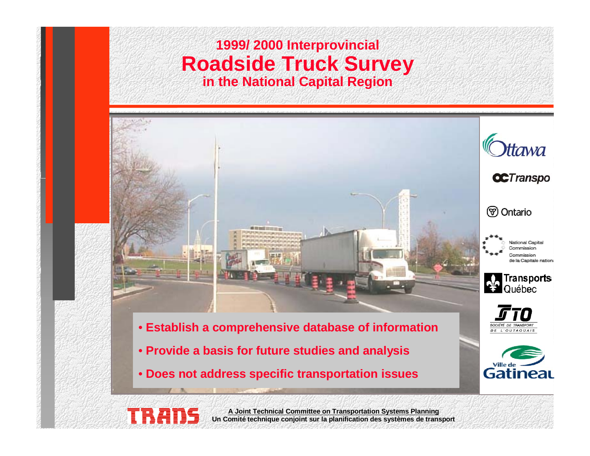#### **1999/ 2000 Interprovincial Roadside Truck Survey in the National Capital Region**



Gatineau

• **Does not address specific transportation issues**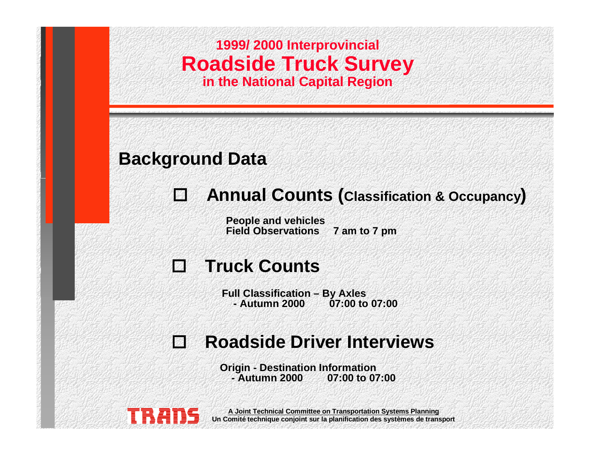

#### **Background Data**

# **Annual Counts (Classification & Occupancy )**

**People and vehicles Field Observations 7 am to 7 pm**

#### **Truck Counts**

**Full Classification – By Axles - Autumn 2000 07:00 to 07:00**

#### **Roadside Driver Interviews**

**Origin - Destination Information - Autumn 2000 07:00 to 07:00**

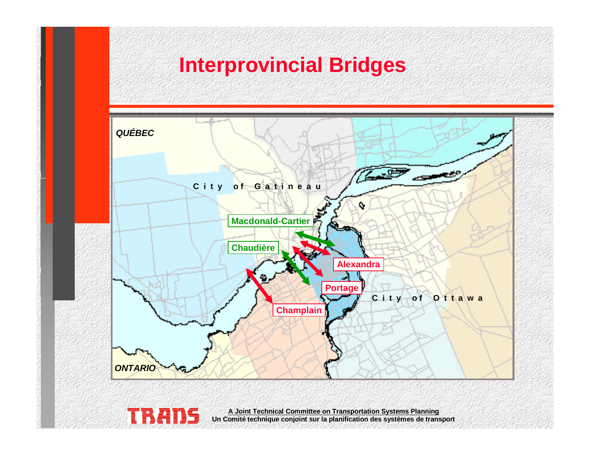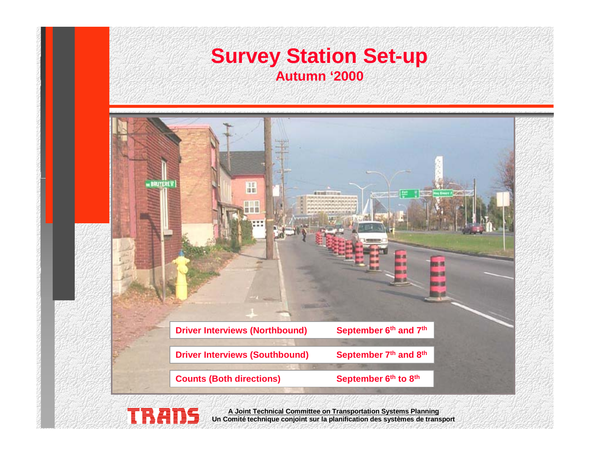#### **Survey Station Set-up Autumn '2000**

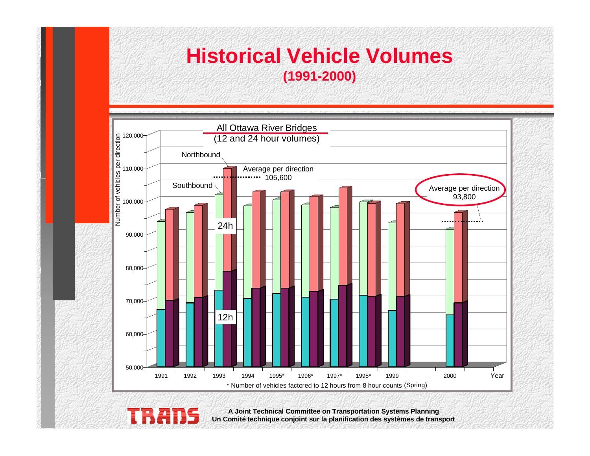## **Historical Vehicle Volumes (1991-2000)**



**Un Comité technique conjoint sur la planification des systèmes de transport**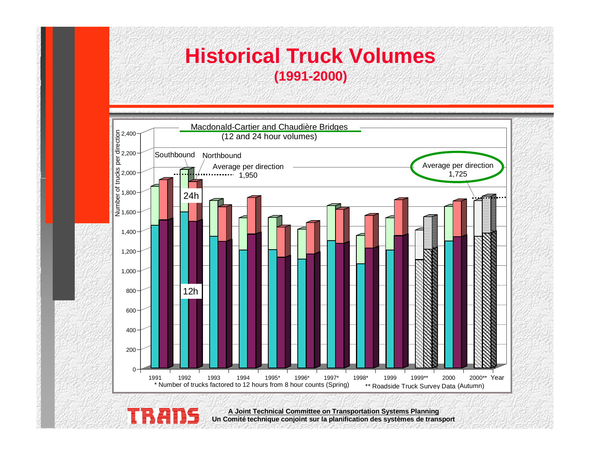#### **Historical Truck Volumes (1991-2000)**



**Un Comité technique conjoint sur la planification des systèmes de transport**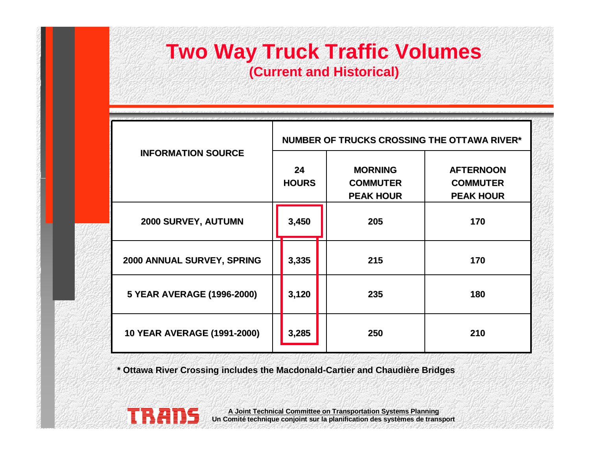## **Two Way Truck Traffic Volumes (Current and Historical)**

| <b>INFORMATION SOURCE</b>          | <b>NUMBER OF TRUCKS CROSSING THE OTTAWA RIVER*</b> |                                                       |                                                         |
|------------------------------------|----------------------------------------------------|-------------------------------------------------------|---------------------------------------------------------|
|                                    | 24<br><b>HOURS</b>                                 | <b>MORNING</b><br><b>COMMUTER</b><br><b>PEAK HOUR</b> | <b>AFTERNOON</b><br><b>COMMUTER</b><br><b>PEAK HOUR</b> |
| 2000 SURVEY, AUTUMN                | 3,450                                              | 205                                                   | 170                                                     |
| 2000 ANNUAL SURVEY, SPRING         | 3,335                                              | 215                                                   | 170                                                     |
| 5 YEAR AVERAGE (1996-2000)         | 3,120                                              | 235                                                   | 180                                                     |
| <b>10 YEAR AVERAGE (1991-2000)</b> | 3,285                                              | 250                                                   | 210                                                     |

**\* Ottawa River Crossing includes the Macdonald-Cartier and Chaudière Bridges**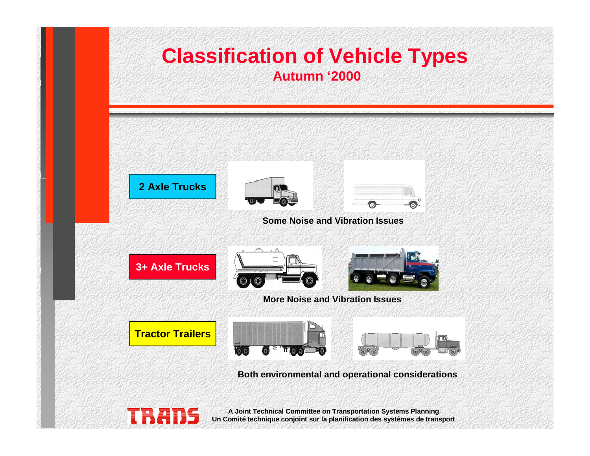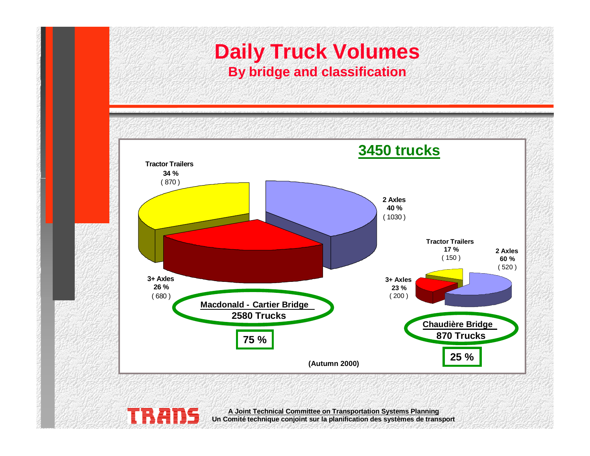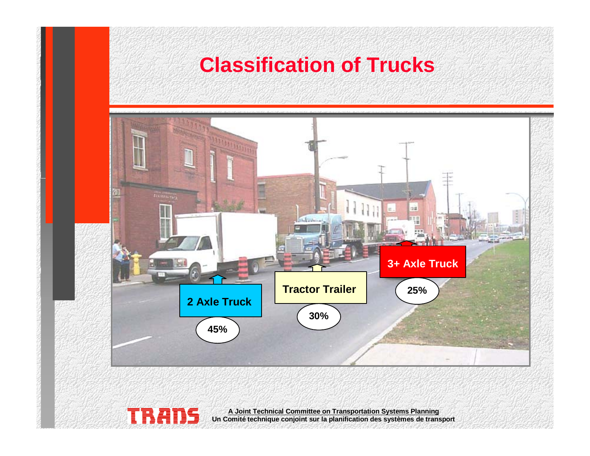# **Classification of Trucks** 山羊 in. **3+ Axle Truck Tractor Trailer 25% 2 Axle Truck 30% 45%A Joint Technical Committee on Transportation Systems Planning Un Comité technique conjoint sur la planification des systèmes de transport**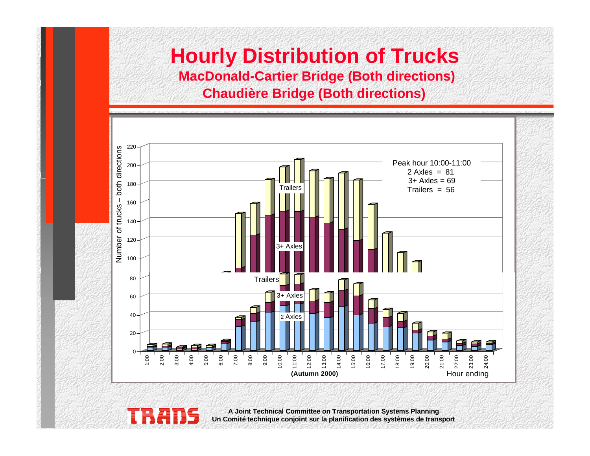#### **Hourly Distribution of Trucks MacDonald-Cartier Bridge (Both directions) Chaudière Bridge (Both directions)**



**Un Comité technique conjoint sur la planification des systèmes de transport**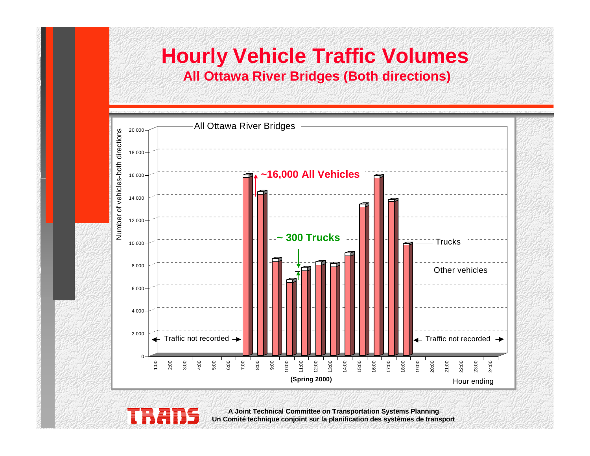#### **Hourly Vehicle Traffic Volumes All Ottawa River Bridges (Both directions)**

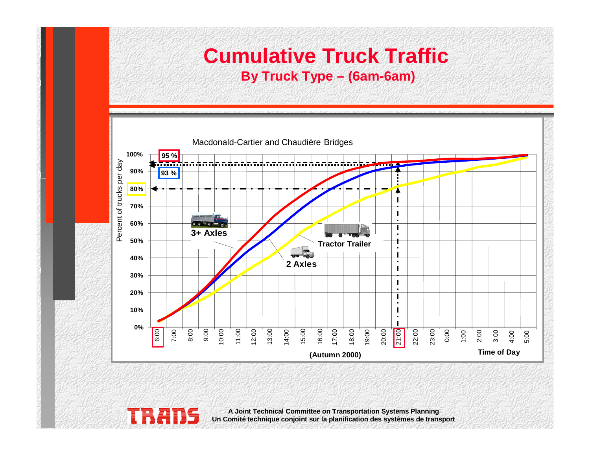#### **Cumulative Truck Traffic By Truck Type – (6am-6am)**



**A Joint Technical Committee on Transportation Systems Planning**

**Un Comité technique conjoint sur la planification des systèmes de transport**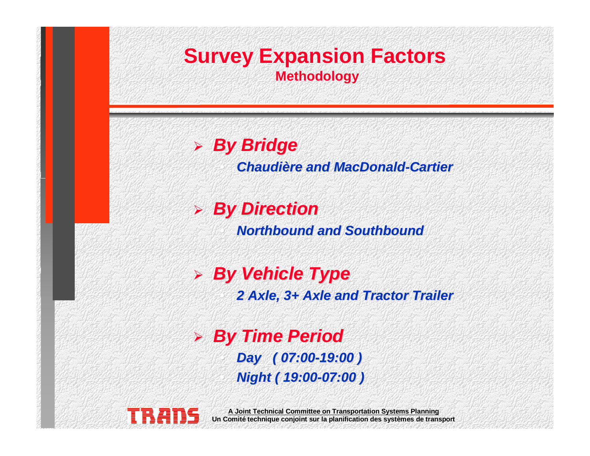

#### ¾ **By Bridge By Bridge**

•

•

**Chaudière and MacDonald-Cartier** 

#### ¾ **By Direction By Direction** •

**Northbound and Southbound Northbound and Southbound**

#### ¾ **By Vehicle Type By Vehicle Type**

**2 Axle, 3+ Axle and Tractor Trailer 2 Axle, 3+ Axle and Tractor Trailer**

¾ **By Time Period By Time Period** • **Day ( 07:00 Day ( 07:00-19:00 ) 19:00 )** •**Night ( 19:00 Night ( 19:00-07:00 ) 07:00 )**

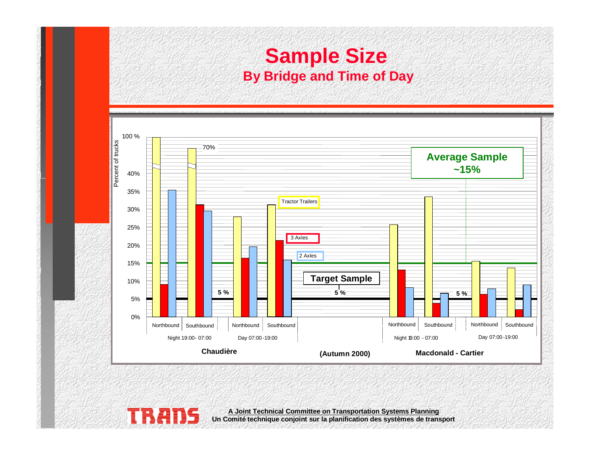#### **Sample Size By Bridge and Time of Day**

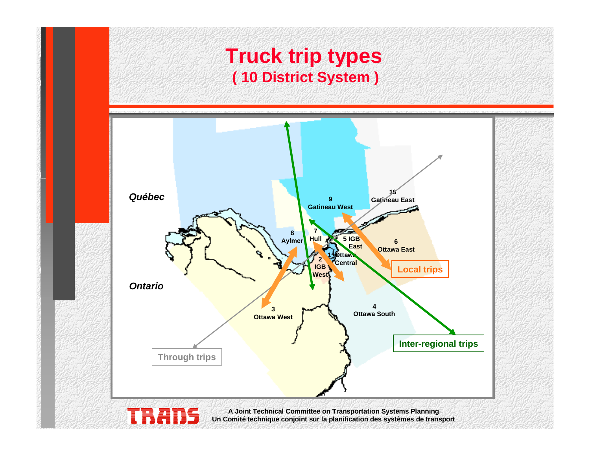#### **Truck trip types ( 10 District System )**

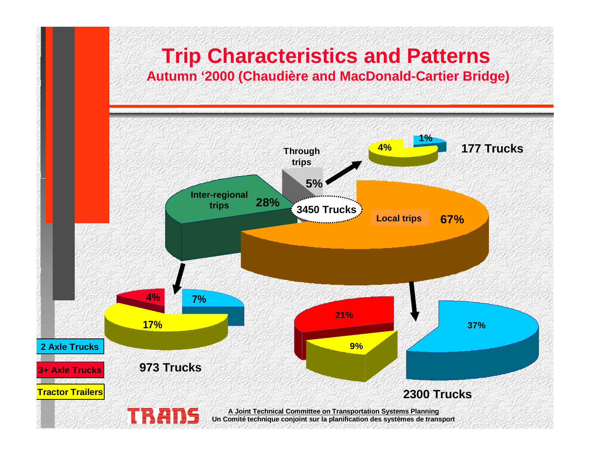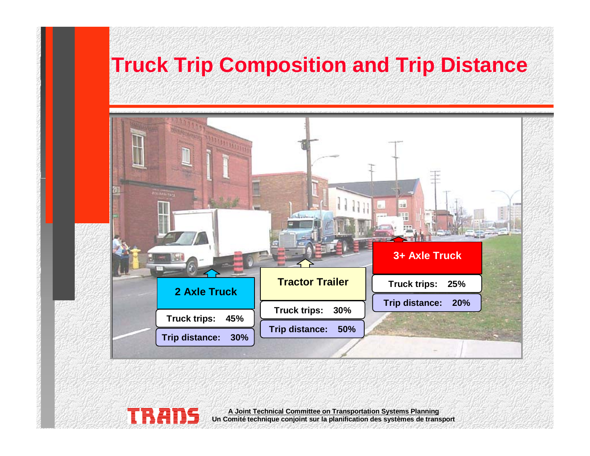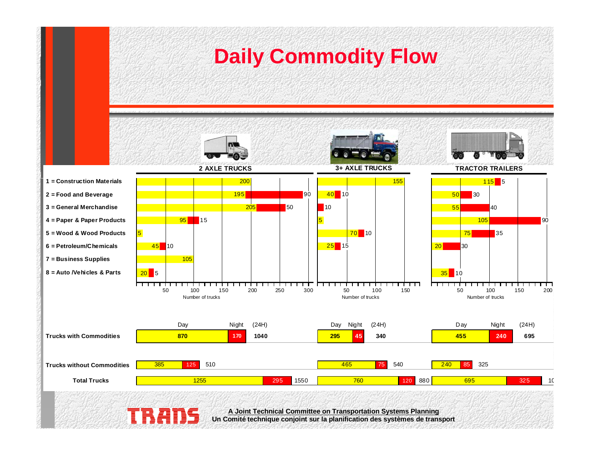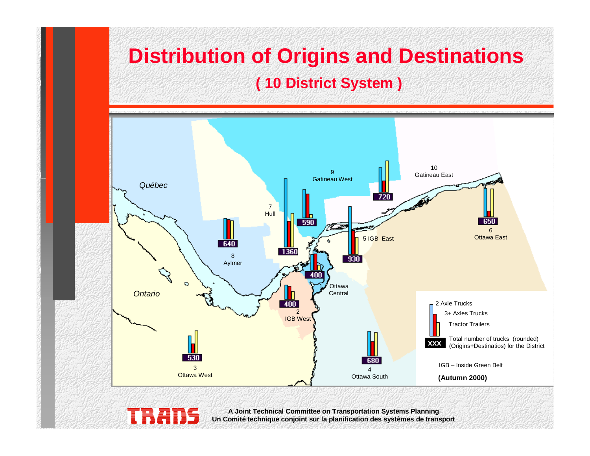# **Distribution of Origins and Destinations ( 10 District System )**

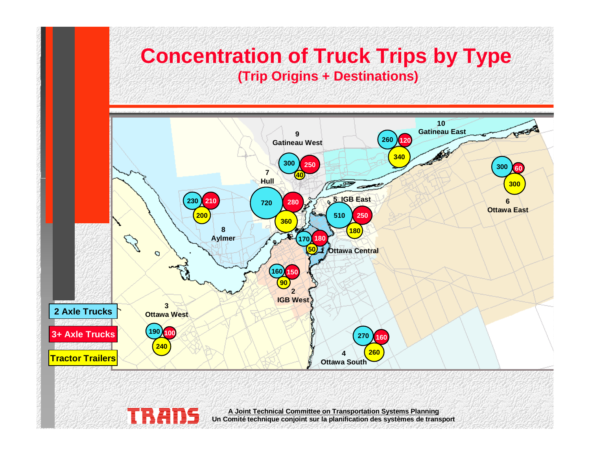# **Concentration of Truck Trips by Type (Trip Origins + Destinations)**

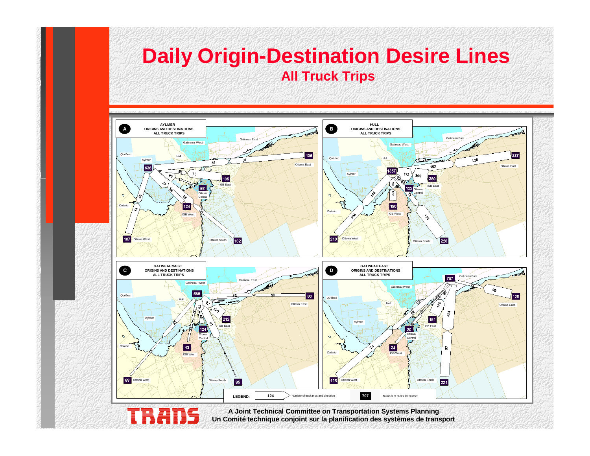#### **Daily Origin-Destination Desire Lines All Truck Trips**

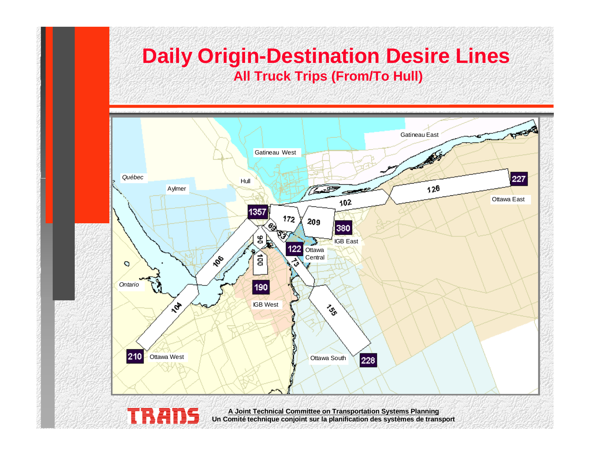# **Daily Origin-Destination Desire Lines All Truck Trips (From/To Hull)**

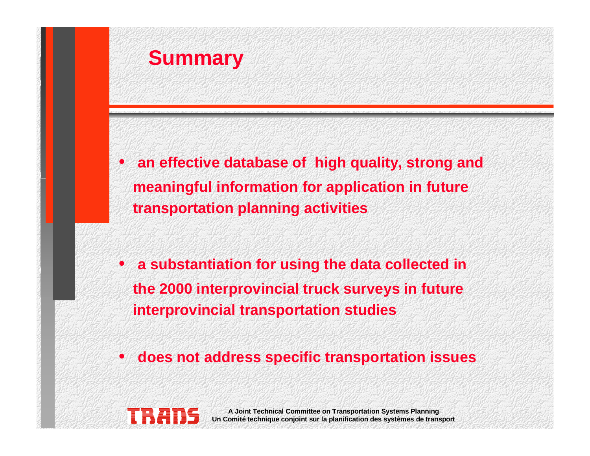

• **an effective database of high quality, strong and meaningful information for application in future transportation planning activities**

- **a substantiation for using the data collected in the 2000 interprovincial truck surveys in future interprovincial transportation studies**
- •**does not address specific transportation issues**

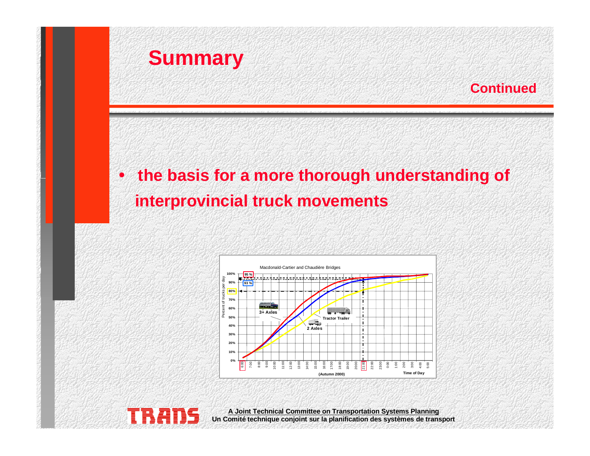



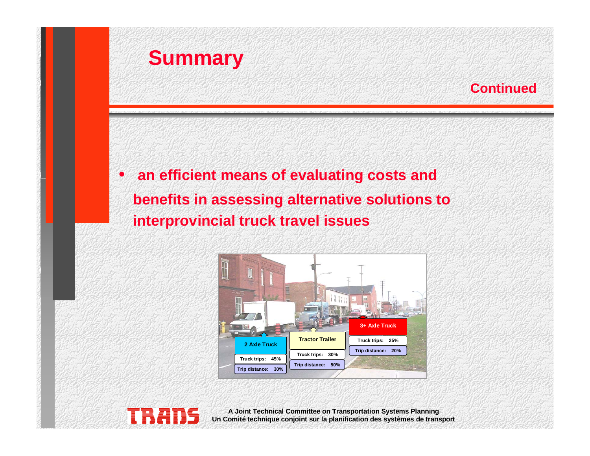



#### $\bullet$  **an efficient means of evaluating costs and benefits in assessing alternative solutions to interprovincial truck travel issues**



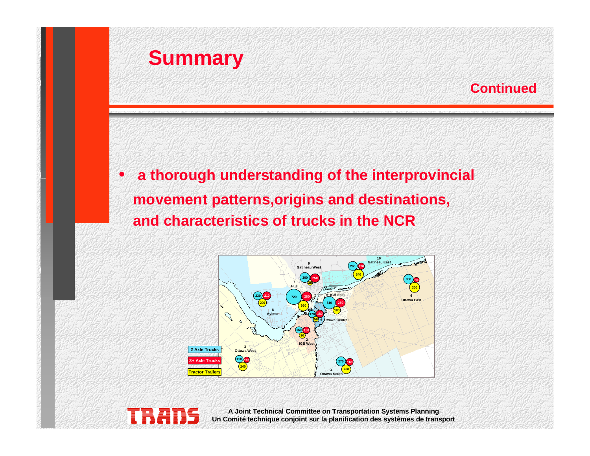

#### **Continued**

#### • **a thorough understanding of the interprovincial movement patterns,origins and destinations, and characteristics of trucks in the NCR**